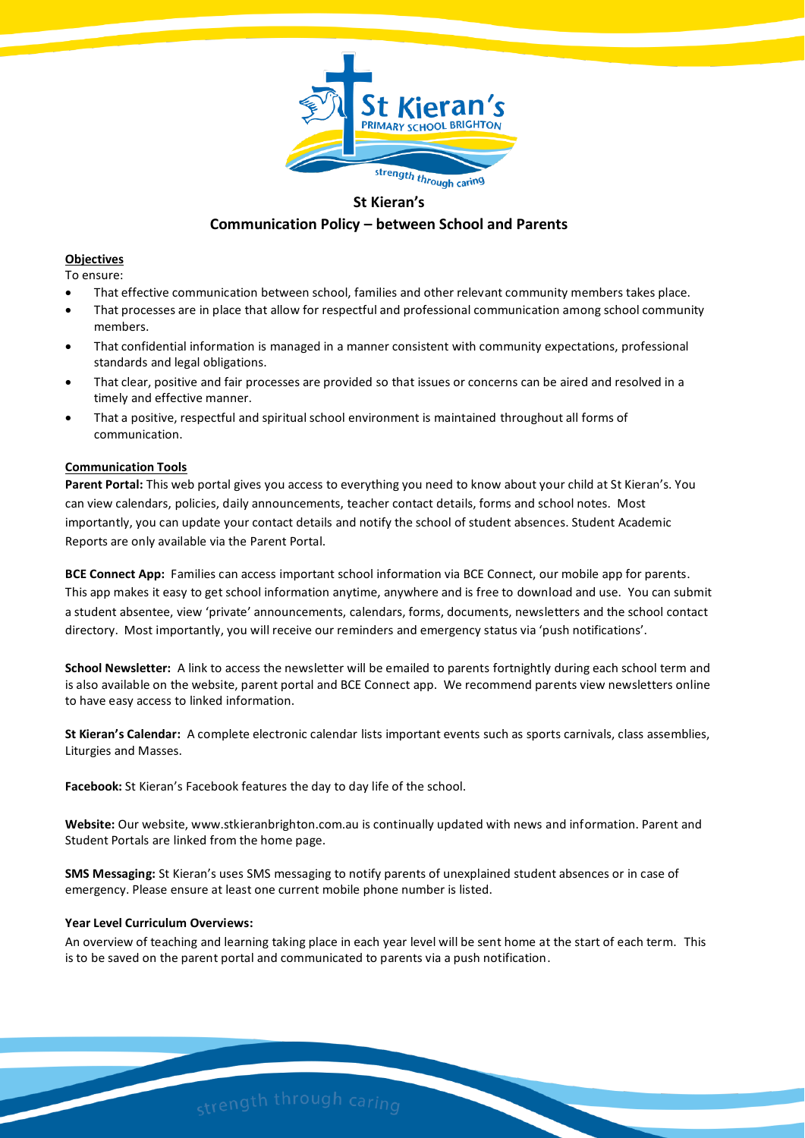

# **St Kieran's**

# **Communication Policy – between School and Parents**

## **Objectives**

To ensure:

- That effective communication between school, families and other relevant community members takes place.
- That processes are in place that allow for respectful and professional communication among school community members.
- That confidential information is managed in a manner consistent with community expectations, professional standards and legal obligations.
- That clear, positive and fair processes are provided so that issues or concerns can be aired and resolved in a timely and effective manner.
- That a positive, respectful and spiritual school environment is maintained throughout all forms of communication.

# **Communication Tools**

**Parent Portal:** This web portal gives you access to everything you need to know about your child at St Kieran's. You can view calendars, policies, daily announcements, teacher contact details, forms and school notes. Most importantly, you can update your contact details and notify the school of student absences. Student Academic Reports are only available via the Parent Portal.

**BCE Connect App:** Families can access important school information via BCE Connect, our mobile app for parents. This app makes it easy to get school information anytime, anywhere and is free to download and use. You can submit a student absentee, view 'private' announcements, calendars, forms, documents, newsletters and the school contact directory. Most importantly, you will receive our reminders and emergency status via 'push notifications'.

**School Newsletter:** A link to access the newsletter will be emailed to parents fortnightly during each school term and is also available on the website, parent portal and BCE Connect app. We recommend parents view newsletters online to have easy access to linked information.

**St Kieran's Calendar:** A complete electronic calendar lists important events such as sports carnivals, class assemblies, Liturgies and Masses.

**Facebook:** St Kieran's Facebook features the day to day life of the school.

**Website:** Our website, www.stkieranbrighton.com.au is continually updated with news and information. Parent and Student Portals are linked from the home page.

**SMS Messaging:** St Kieran's uses SMS messaging to notify parents of unexplained student absences or in case of emergency. Please ensure at least one current mobile phone number is listed.

# **Year Level Curriculum Overviews:**

An overview of teaching and learning taking place in each year level will be sent home at the start of each term. This is to be saved on the parent portal and communicated to parents via a push notification.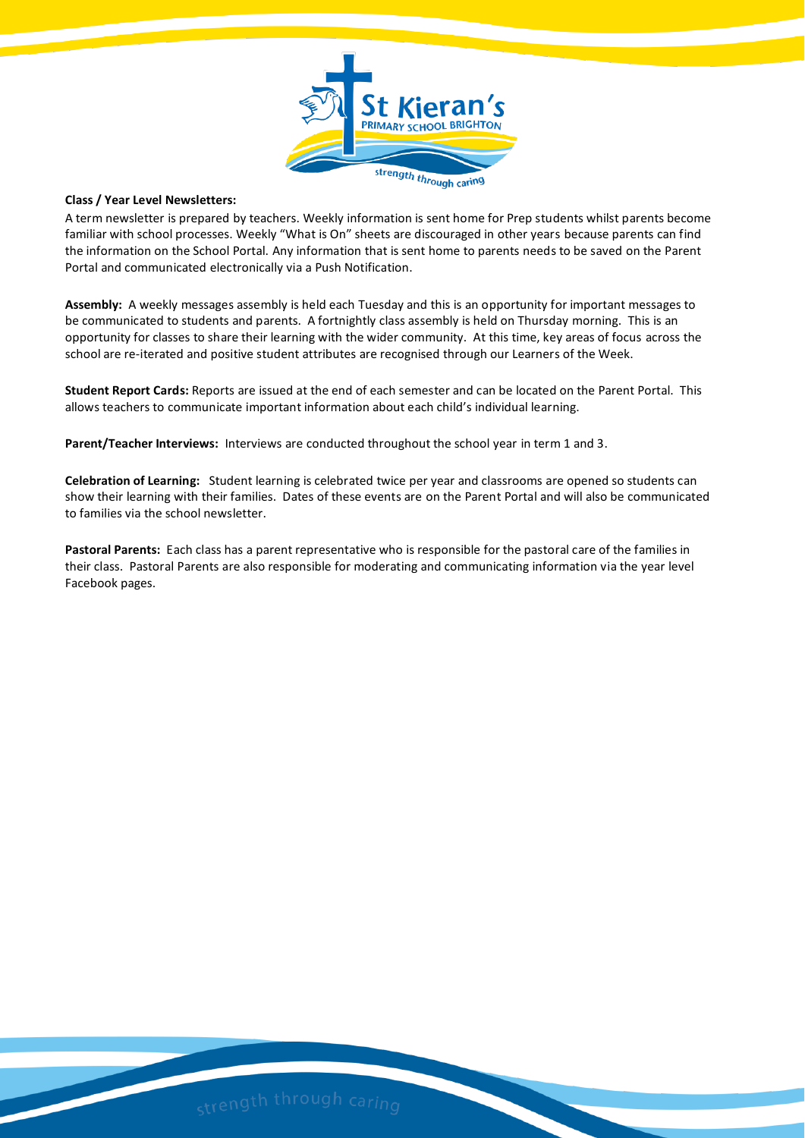

#### **Class / Year Level Newsletters:**

A term newsletter is prepared by teachers. Weekly information is sent home for Prep students whilst parents become familiar with school processes. Weekly "What is On" sheets are discouraged in other years because parents can find the information on the School Portal. Any information that is sent home to parents needs to be saved on the Parent Portal and communicated electronically via a Push Notification.

**Assembly:** A weekly messages assembly is held each Tuesday and this is an opportunity for important messages to be communicated to students and parents. A fortnightly class assembly is held on Thursday morning. This is an opportunity for classes to share their learning with the wider community. At this time, key areas of focus across the school are re-iterated and positive student attributes are recognised through our Learners of the Week.

**Student Report Cards:** Reports are issued at the end of each semester and can be located on the Parent Portal. This allows teachers to communicate important information about each child's individual learning.

**Parent/Teacher Interviews:** Interviews are conducted throughout the school year in term 1 and 3.

**Celebration of Learning:** Student learning is celebrated twice per year and classrooms are opened so students can show their learning with their families. Dates of these events are on the Parent Portal and will also be communicated to families via the school newsletter.

**Pastoral Parents:** Each class has a parent representative who is responsible for the pastoral care of the families in their class. Pastoral Parents are also responsible for moderating and communicating information via the year level Facebook pages.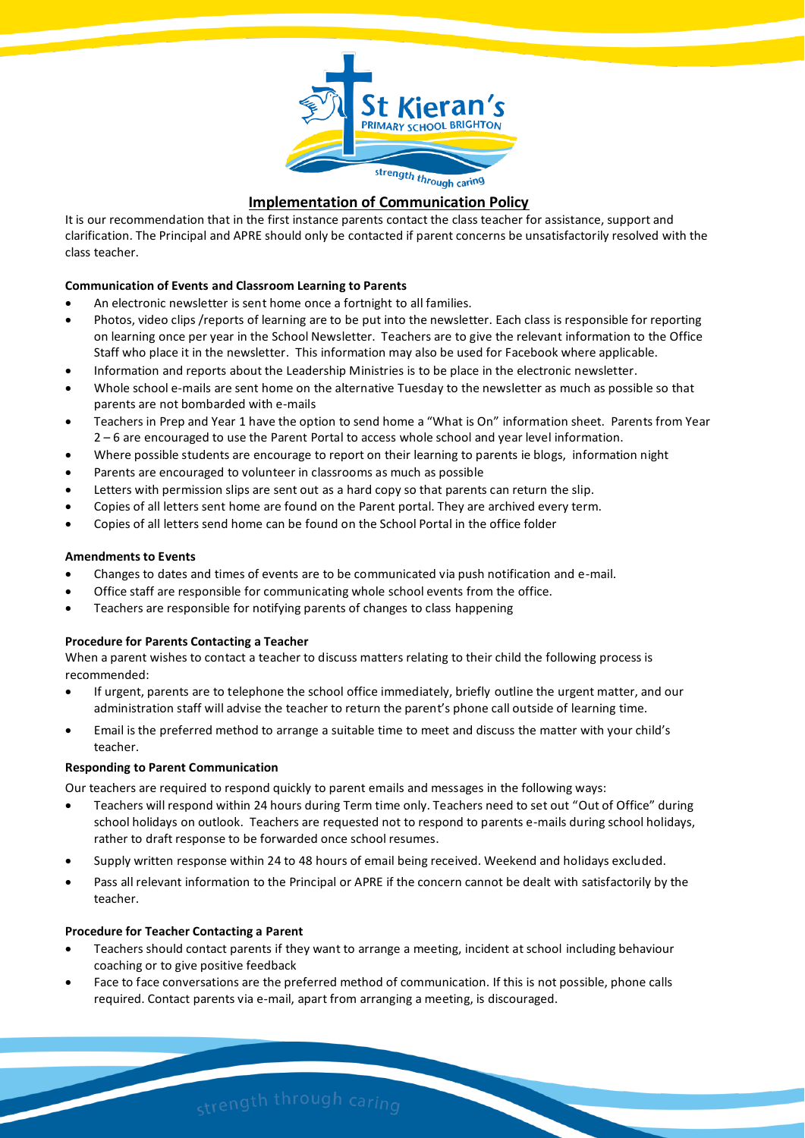

# **Implementation of Communication Policy**

It is our recommendation that in the first instance parents contact the class teacher for assistance, support and clarification. The Principal and APRE should only be contacted if parent concerns be unsatisfactorily resolved with the class teacher.

# **Communication of Events and Classroom Learning to Parents**

- An electronic newsletter is sent home once a fortnight to all families.
- Photos, video clips /reports of learning are to be put into the newsletter. Each class is responsible for reporting on learning once per year in the School Newsletter. Teachers are to give the relevant information to the Office Staff who place it in the newsletter. This information may also be used for Facebook where applicable.
- Information and reports about the Leadership Ministries is to be place in the electronic newsletter.
- Whole school e-mails are sent home on the alternative Tuesday to the newsletter as much as possible so that parents are not bombarded with e-mails
- Teachers in Prep and Year 1 have the option to send home a "What is On" information sheet. Parents from Year 2 – 6 are encouraged to use the Parent Portal to access whole school and year level information.
- Where possible students are encourage to report on their learning to parents ie blogs, information night
- Parents are encouraged to volunteer in classrooms as much as possible
- Letters with permission slips are sent out as a hard copy so that parents can return the slip.
- Copies of all letters sent home are found on the Parent portal. They are archived every term.
- Copies of all letters send home can be found on the School Portal in the office folder

#### **Amendments to Events**

- Changes to dates and times of events are to be communicated via push notification and e-mail.
- Office staff are responsible for communicating whole school events from the office.
- Teachers are responsible for notifying parents of changes to class happening

#### **Procedure for Parents Contacting a Teacher**

When a parent wishes to contact a teacher to discuss matters relating to their child the following process is recommended:

- If urgent, parents are to telephone the school office immediately, briefly outline the urgent matter, and our administration staff will advise the teacher to return the parent's phone call outside of learning time.
- Email is the preferred method to arrange a suitable time to meet and discuss the matter with your child's teacher.

#### **Responding to Parent Communication**

Our teachers are required to respond quickly to parent emails and messages in the following ways:

- Teachers will respond within 24 hours during Term time only. Teachers need to set out "Out of Office" during school holidays on outlook. Teachers are requested not to respond to parents e-mails during school holidays, rather to draft response to be forwarded once school resumes.
- Supply written response within 24 to 48 hours of email being received. Weekend and holidays excluded.
- Pass all relevant information to the Principal or APRE if the concern cannot be dealt with satisfactorily by the teacher.

#### **Procedure for Teacher Contacting a Parent**

- Teachers should contact parents if they want to arrange a meeting, incident at school including behaviour coaching or to give positive feedback
- Face to face conversations are the preferred method of communication. If this is not possible, phone calls required. Contact parents via e-mail, apart from arranging a meeting, is discouraged.